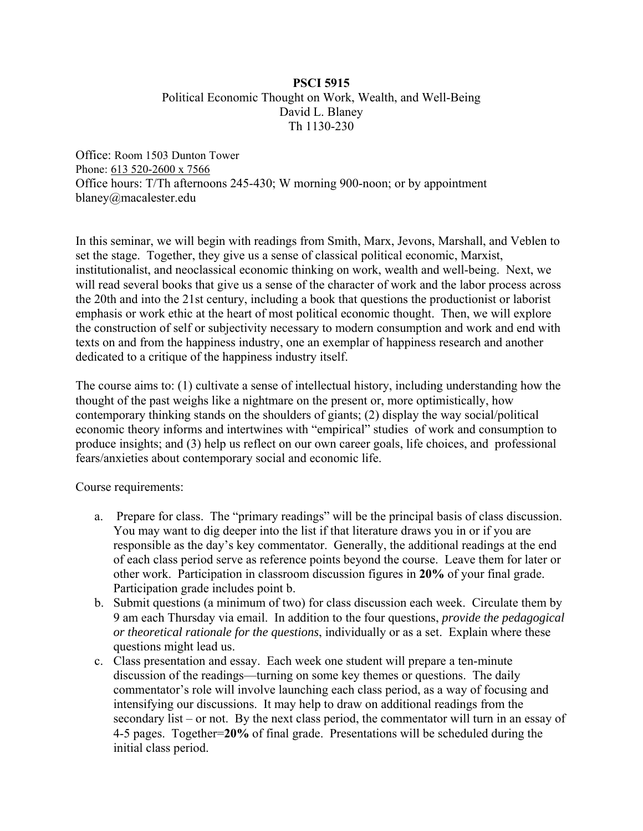# **PSCI 5915**  Political Economic Thought on Work, Wealth, and Well-Being David L. Blaney Th 1130-230

Office: Room 1503 Dunton Tower Phone: 613 520-2600 x 7566 Office hours: T/Th afternoons 245-430; W morning 900-noon; or by appointment blaney@macalester.edu

In this seminar, we will begin with readings from Smith, Marx, Jevons, Marshall, and Veblen to set the stage. Together, they give us a sense of classical political economic, Marxist, institutionalist, and neoclassical economic thinking on work, wealth and well-being. Next, we will read several books that give us a sense of the character of work and the labor process across the 20th and into the 21st century, including a book that questions the productionist or laborist emphasis or work ethic at the heart of most political economic thought. Then, we will explore the construction of self or subjectivity necessary to modern consumption and work and end with texts on and from the happiness industry, one an exemplar of happiness research and another dedicated to a critique of the happiness industry itself.

The course aims to: (1) cultivate a sense of intellectual history, including understanding how the thought of the past weighs like a nightmare on the present or, more optimistically, how contemporary thinking stands on the shoulders of giants; (2) display the way social/political economic theory informs and intertwines with "empirical" studies of work and consumption to produce insights; and (3) help us reflect on our own career goals, life choices, and professional fears/anxieties about contemporary social and economic life.

Course requirements:

- a. Prepare for class. The "primary readings" will be the principal basis of class discussion. You may want to dig deeper into the list if that literature draws you in or if you are responsible as the day's key commentator. Generally, the additional readings at the end of each class period serve as reference points beyond the course. Leave them for later or other work. Participation in classroom discussion figures in **20%** of your final grade. Participation grade includes point b.
- b. Submit questions (a minimum of two) for class discussion each week. Circulate them by 9 am each Thursday via email. In addition to the four questions, *provide the pedagogical or theoretical rationale for the questions*, individually or as a set. Explain where these questions might lead us.
- c. Class presentation and essay. Each week one student will prepare a ten-minute discussion of the readings—turning on some key themes or questions. The daily commentator's role will involve launching each class period, as a way of focusing and intensifying our discussions. It may help to draw on additional readings from the secondary list – or not. By the next class period, the commentator will turn in an essay of 4-5 pages. Together=**20%** of final grade. Presentations will be scheduled during the initial class period.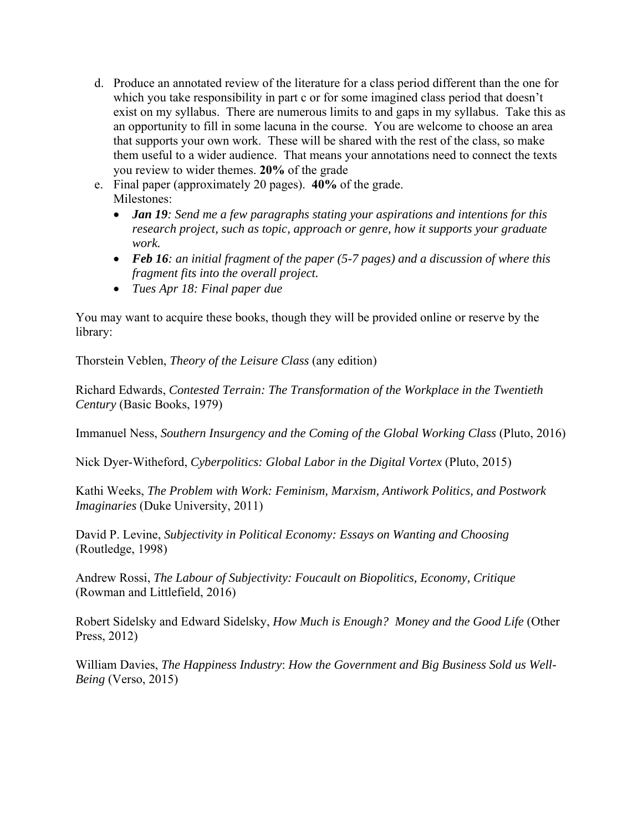- d. Produce an annotated review of the literature for a class period different than the one for which you take responsibility in part c or for some imagined class period that doesn't exist on my syllabus. There are numerous limits to and gaps in my syllabus. Take this as an opportunity to fill in some lacuna in the course. You are welcome to choose an area that supports your own work. These will be shared with the rest of the class, so make them useful to a wider audience. That means your annotations need to connect the texts you review to wider themes. **20%** of the grade
- e. Final paper (approximately 20 pages). **40%** of the grade. Milestones:
	- *Jan 19: Send me a few paragraphs stating your aspirations and intentions for this research project, such as topic, approach or genre, how it supports your graduate work.*
	- *Feb 16: an initial fragment of the paper (5-7 pages) and a discussion of where this fragment fits into the overall project.*
	- *Tues Apr 18: Final paper due*

You may want to acquire these books, though they will be provided online or reserve by the library:

Thorstein Veblen, *Theory of the Leisure Class* (any edition)

Richard Edwards, *Contested Terrain: The Transformation of the Workplace in the Twentieth Century* (Basic Books, 1979)

Immanuel Ness, *Southern Insurgency and the Coming of the Global Working Class* (Pluto, 2016)

Nick Dyer-Witheford, *Cyberpolitics: Global Labor in the Digital Vortex* (Pluto, 2015)

Kathi Weeks, *The Problem with Work: Feminism, Marxism, Antiwork Politics, and Postwork Imaginaries* (Duke University, 2011)

David P. Levine, *Subjectivity in Political Economy: Essays on Wanting and Choosing*  (Routledge, 1998)

Andrew Rossi, *The Labour of Subjectivity: Foucault on Biopolitics, Economy, Critique*  (Rowman and Littlefield, 2016)

Robert Sidelsky and Edward Sidelsky, *How Much is Enough? Money and the Good Life* (Other Press, 2012)

William Davies, *The Happiness Industry*: *How the Government and Big Business Sold us Well-Being* (Verso, 2015)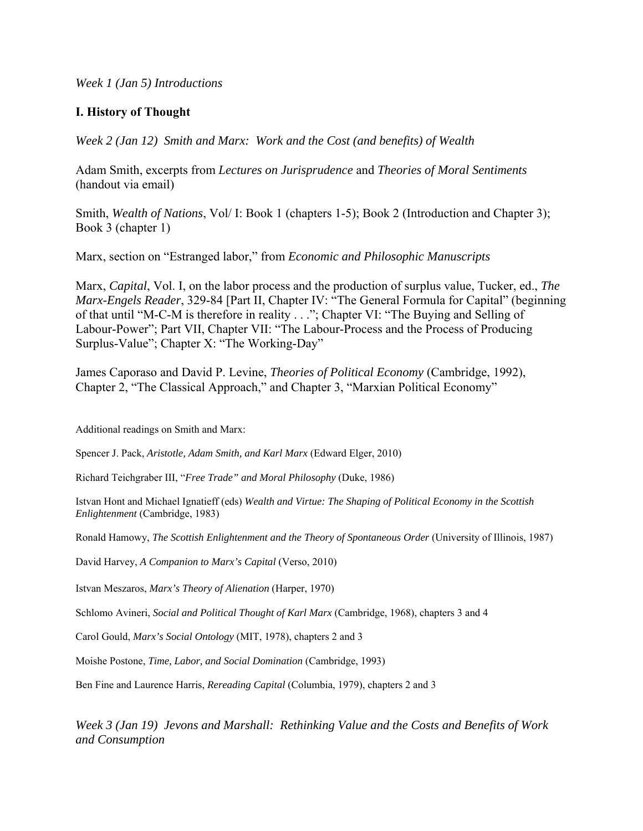*Week 1 (Jan 5) Introductions* 

# **I. History of Thought**

*Week 2 (Jan 12) Smith and Marx: Work and the Cost (and benefits) of Wealth* 

Adam Smith, excerpts from *Lectures on Jurisprudence* and *Theories of Moral Sentiments*  (handout via email)

Smith, *Wealth of Nations*, Vol/ I: Book 1 (chapters 1-5); Book 2 (Introduction and Chapter 3); Book 3 (chapter 1)

Marx, section on "Estranged labor," from *Economic and Philosophic Manuscripts*

Marx, *Capital*, Vol. I, on the labor process and the production of surplus value, Tucker, ed., *The Marx-Engels Reader*, 329-84 [Part II, Chapter IV: "The General Formula for Capital" (beginning of that until "M-C-M is therefore in reality . . ."; Chapter VI: "The Buying and Selling of Labour-Power"; Part VII, Chapter VII: "The Labour-Process and the Process of Producing Surplus-Value"; Chapter X: "The Working-Day"

James Caporaso and David P. Levine, *Theories of Political Economy* (Cambridge, 1992), Chapter 2, "The Classical Approach," and Chapter 3, "Marxian Political Economy"

Additional readings on Smith and Marx:

Spencer J. Pack, *Aristotle, Adam Smith, and Karl Marx* (Edward Elger, 2010)

Richard Teichgraber III, "*Free Trade" and Moral Philosophy* (Duke, 1986)

Istvan Hont and Michael Ignatieff (eds) *Wealth and Virtue: The Shaping of Political Economy in the Scottish Enlightenment* (Cambridge, 1983)

Ronald Hamowy, *The Scottish Enlightenment and the Theory of Spontaneous Order* (University of Illinois, 1987)

David Harvey, *A Companion to Marx's Capital* (Verso, 2010)

Istvan Meszaros, *Marx's Theory of Alienation* (Harper, 1970)

Schlomo Avineri, *Social and Political Thought of Karl Marx* (Cambridge, 1968), chapters 3 and 4

Carol Gould, *Marx's Social Ontology* (MIT, 1978), chapters 2 and 3

Moishe Postone, *Time, Labor, and Social Domination* (Cambridge, 1993)

Ben Fine and Laurence Harris, *Rereading Capital* (Columbia, 1979), chapters 2 and 3

*Week 3 (Jan 19) Jevons and Marshall: Rethinking Value and the Costs and Benefits of Work and Consumption*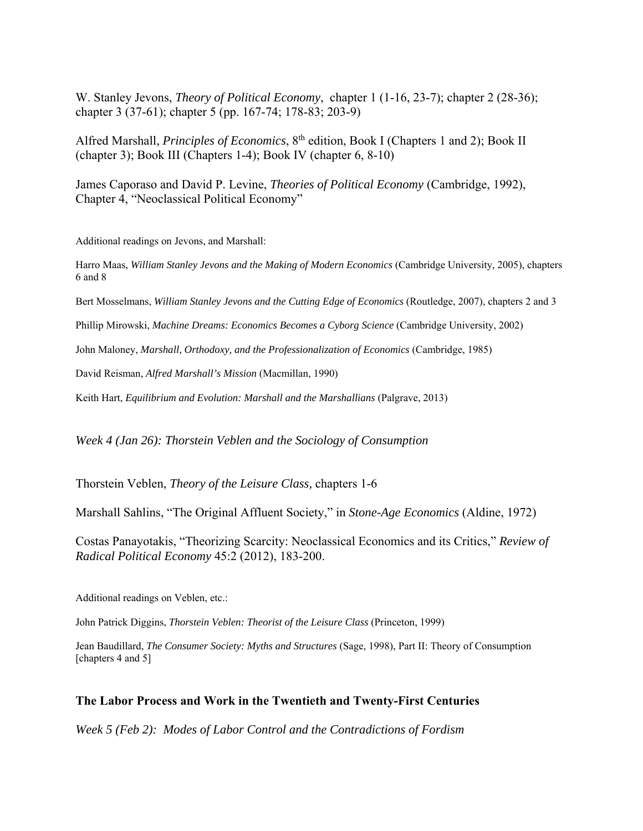W. Stanley Jevons, *Theory of Political Economy*, chapter 1 (1-16, 23-7); chapter 2 (28-36); chapter 3 (37-61); chapter 5 (pp. 167-74; 178-83; 203-9)

Alfred Marshall, *Principles of Economics*, 8<sup>th</sup> edition, Book I (Chapters 1 and 2); Book II (chapter 3); Book III (Chapters 1-4); Book IV (chapter 6, 8-10)

James Caporaso and David P. Levine, *Theories of Political Economy* (Cambridge, 1992), Chapter 4, "Neoclassical Political Economy"

Additional readings on Jevons, and Marshall:

Harro Maas, *William Stanley Jevons and the Making of Modern Economics* (Cambridge University, 2005), chapters 6 and 8

Bert Mosselmans, *William Stanley Jevons and the Cutting Edge of Economics* (Routledge, 2007), chapters 2 and 3

Phillip Mirowski, *Machine Dreams: Economics Becomes a Cyborg Science* (Cambridge University, 2002)

John Maloney, *Marshall, Orthodoxy, and the Professionalization of Economics* (Cambridge, 1985)

David Reisman, *Alfred Marshall's Mission* (Macmillan, 1990)

Keith Hart, *Equilibrium and Evolution: Marshall and the Marshallians* (Palgrave, 2013)

*Week 4 (Jan 26): Thorstein Veblen and the Sociology of Consumption* 

Thorstein Veblen, *Theory of the Leisure Class,* chapters 1-6

Marshall Sahlins, "The Original Affluent Society," in *Stone-Age Economics* (Aldine, 1972)

Costas Panayotakis, "Theorizing Scarcity: Neoclassical Economics and its Critics," *Review of Radical Political Economy* 45:2 (2012), 183-200.

Additional readings on Veblen, etc.:

John Patrick Diggins, *Thorstein Veblen: Theorist of the Leisure Class* (Princeton, 1999)

Jean Baudillard, *The Consumer Society: Myths and Structures* (Sage, 1998), Part II: Theory of Consumption [chapters 4 and 5]

#### **The Labor Process and Work in the Twentieth and Twenty-First Centuries**

*Week 5 (Feb 2): Modes of Labor Control and the Contradictions of Fordism*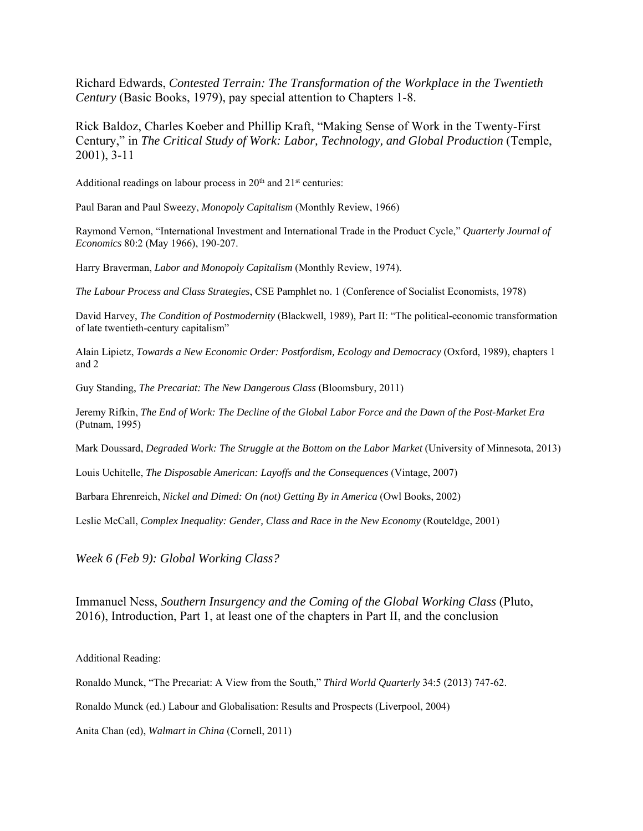Richard Edwards, *Contested Terrain: The Transformation of the Workplace in the Twentieth Century* (Basic Books, 1979), pay special attention to Chapters 1-8.

Rick Baldoz, Charles Koeber and Phillip Kraft, "Making Sense of Work in the Twenty-First Century," in *The Critical Study of Work: Labor, Technology, and Global Production* (Temple, 2001), 3-11

Additional readings on labour process in  $20<sup>th</sup>$  and  $21<sup>st</sup>$  centuries:

Paul Baran and Paul Sweezy, *Monopoly Capitalism* (Monthly Review, 1966)

Raymond Vernon, "International Investment and International Trade in the Product Cycle," *Quarterly Journal of Economics* 80:2 (May 1966), 190-207.

Harry Braverman, *Labor and Monopoly Capitalism* (Monthly Review, 1974).

*The Labour Process and Class Strategies*, CSE Pamphlet no. 1 (Conference of Socialist Economists, 1978)

David Harvey, *The Condition of Postmodernity* (Blackwell, 1989), Part II: "The political-economic transformation of late twentieth-century capitalism"

Alain Lipietz, *Towards a New Economic Order: Postfordism, Ecology and Democracy* (Oxford, 1989), chapters 1 and 2

Guy Standing, *The Precariat: The New Dangerous Class* (Bloomsbury, 2011)

Jeremy Rifkin, *The End of Work: The Decline of the Global Labor Force and the Dawn of the Post-Market Era*  (Putnam, 1995)

Mark Doussard, *Degraded Work: The Struggle at the Bottom on the Labor Market* (University of Minnesota, 2013)

Louis Uchitelle, *The Disposable American: Layoffs and the Consequences* (Vintage, 2007)

Barbara Ehrenreich, *Nickel and Dimed: On (not) Getting By in America* (Owl Books, 2002)

Leslie McCall, *Complex Inequality: Gender, Class and Race in the New Economy* (Routeldge, 2001)

*Week 6 (Feb 9): Global Working Class?* 

Immanuel Ness, *Southern Insurgency and the Coming of the Global Working Class* (Pluto, 2016), Introduction, Part 1, at least one of the chapters in Part II, and the conclusion

Additional Reading:

Ronaldo Munck, "The Precariat: A View from the South," *Third World Quarterly* 34:5 (2013) 747-62.

Ronaldo Munck (ed.) Labour and Globalisation: Results and Prospects (Liverpool, 2004)

Anita Chan (ed), *Walmart in China* (Cornell, 2011)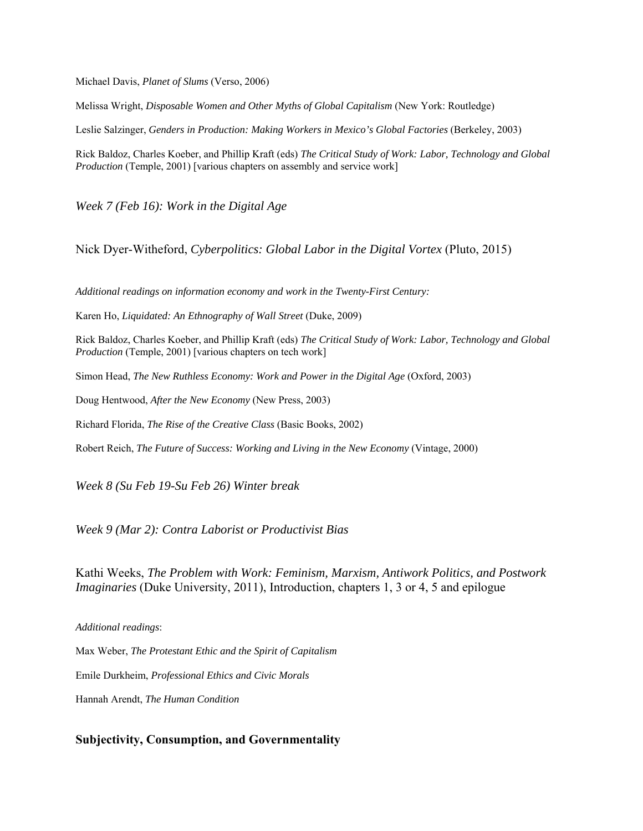Michael Davis, *Planet of Slums* (Verso, 2006)

Melissa Wright, *Disposable Women and Other Myths of Global Capitalism* (New York: Routledge)

Leslie Salzinger, *Genders in Production: Making Workers in Mexico's Global Factories* (Berkeley, 2003)

Rick Baldoz, Charles Koeber, and Phillip Kraft (eds) *The Critical Study of Work: Labor, Technology and Global Production* (Temple, 2001) [various chapters on assembly and service work]

*Week 7 (Feb 16): Work in the Digital Age* 

Nick Dyer-Witheford, *Cyberpolitics: Global Labor in the Digital Vortex* (Pluto, 2015)

*Additional readings on information economy and work in the Twenty-First Century:*

Karen Ho, *Liquidated: An Ethnography of Wall Street* (Duke, 2009)

Rick Baldoz, Charles Koeber, and Phillip Kraft (eds) *The Critical Study of Work: Labor, Technology and Global Production* (Temple, 2001) [various chapters on tech work]

Simon Head, *The New Ruthless Economy: Work and Power in the Digital Age* (Oxford, 2003)

Doug Hentwood, *After the New Economy* (New Press, 2003)

Richard Florida, *The Rise of the Creative Class* (Basic Books, 2002)

Robert Reich, *The Future of Success: Working and Living in the New Economy* (Vintage, 2000)

*Week 8 (Su Feb 19-Su Feb 26) Winter break* 

*Week 9 (Mar 2): Contra Laborist or Productivist Bias* 

Kathi Weeks, *The Problem with Work: Feminism, Marxism, Antiwork Politics, and Postwork Imaginaries* (Duke University, 2011), Introduction, chapters 1, 3 or 4, 5 and epilogue

*Additional readings*:

Max Weber, *The Protestant Ethic and the Spirit of Capitalism* Emile Durkheim, *Professional Ethics and Civic Morals*  Hannah Arendt, *The Human Condition* 

#### **Subjectivity, Consumption, and Governmentality**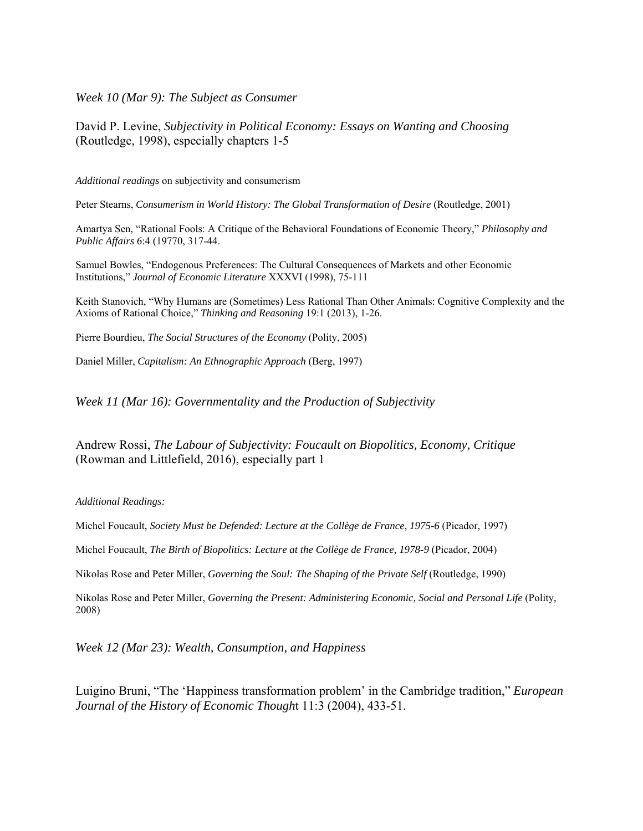*Week 10 (Mar 9): The Subject as Consumer* 

David P. Levine, *Subjectivity in Political Economy: Essays on Wanting and Choosing*  (Routledge, 1998), especially chapters 1-5

*Additional readings* on subjectivity and consumerism

Peter Stearns, *Consumerism in World History: The Global Transformation of Desire* (Routledge, 2001)

Amartya Sen, "Rational Fools: A Critique of the Behavioral Foundations of Economic Theory," *Philosophy and Public Affairs* 6:4 (19770, 317-44.

Samuel Bowles, "Endogenous Preferences: The Cultural Consequences of Markets and other Economic Institutions," *Journal of Economic Literature* XXXVI (1998), 75-111

Keith Stanovich, "Why Humans are (Sometimes) Less Rational Than Other Animals: Cognitive Complexity and the Axioms of Rational Choice," *Thinking and Reasoning* 19:1 (2013), 1-26.

Pierre Bourdieu, *The Social Structures of the Economy* (Polity, 2005)

Daniel Miller, *Capitalism: An Ethnographic Approach* (Berg, 1997)

*Week 11 (Mar 16): Governmentality and the Production of Subjectivity* 

Andrew Rossi, *The Labour of Subjectivity: Foucault on Biopolitics, Economy, Critique*  (Rowman and Littlefield, 2016), especially part 1

*Additional Readings:* 

Michel Foucault, *Society Must be Defended: Lecture at the Collège de France, 1975-6* (Picador, 1997)

Michel Foucault, *The Birth of Biopolitics: Lecture at the Collège de France, 1978-9* (Picador, 2004)

Nikolas Rose and Peter Miller, *Governing the Soul: The Shaping of the Private Self* (Routledge, 1990)

Nikolas Rose and Peter Miller, *Governing the Present: Administering Economic, Social and Personal Life* (Polity, 2008)

*Week 12 (Mar 23): Wealth, Consumption, and Happiness* 

Luigino Bruni, "The 'Happiness transformation problem' in the Cambridge tradition," *European Journal of the History of Economic Though*t 11:3 (2004), 433-51.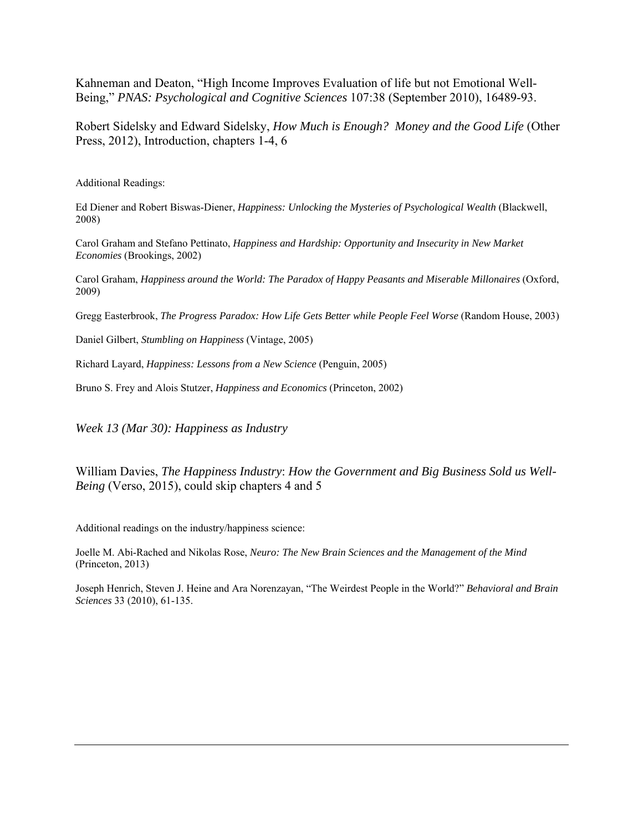Kahneman and Deaton, "High Income Improves Evaluation of life but not Emotional Well-Being," *PNAS: Psychological and Cognitive Sciences* 107:38 (September 2010), 16489-93.

Robert Sidelsky and Edward Sidelsky, *How Much is Enough? Money and the Good Life* (Other Press, 2012), Introduction, chapters 1-4, 6

Additional Readings:

Ed Diener and Robert Biswas-Diener, *Happiness: Unlocking the Mysteries of Psychological Wealth* (Blackwell, 2008)

Carol Graham and Stefano Pettinato, *Happiness and Hardship: Opportunity and Insecurity in New Market Economies* (Brookings, 2002)

Carol Graham, *Happiness around the World: The Paradox of Happy Peasants and Miserable Millonaires* (Oxford, 2009)

Gregg Easterbrook, *The Progress Paradox: How Life Gets Better while People Feel Worse* (Random House, 2003)

Daniel Gilbert, *Stumbling on Happiness* (Vintage, 2005)

Richard Layard, *Happiness: Lessons from a New Science* (Penguin, 2005)

Bruno S. Frey and Alois Stutzer, *Happiness and Economics* (Princeton, 2002)

*Week 13 (Mar 30): Happiness as Industry* 

William Davies, *The Happiness Industry*: *How the Government and Big Business Sold us Well-Being* (Verso, 2015), could skip chapters 4 and 5

Additional readings on the industry/happiness science:

Joelle M. Abi-Rached and Nikolas Rose, *Neuro: The New Brain Sciences and the Management of the Mind*  (Princeton, 2013)

Joseph Henrich, Steven J. Heine and Ara Norenzayan, "The Weirdest People in the World?" *Behavioral and Brain Sciences* 33 (2010), 61-135.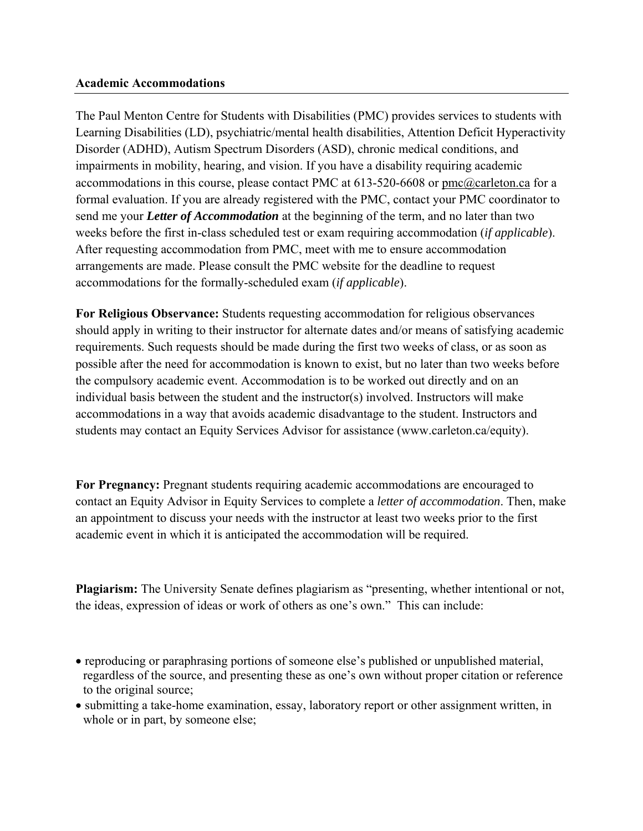### **Academic Accommodations**

The Paul Menton Centre for Students with Disabilities (PMC) provides services to students with Learning Disabilities (LD), psychiatric/mental health disabilities, Attention Deficit Hyperactivity Disorder (ADHD), Autism Spectrum Disorders (ASD), chronic medical conditions, and impairments in mobility, hearing, and vision. If you have a disability requiring academic accommodations in this course, please contact PMC at 613-520-6608 or pmc@carleton.ca for a formal evaluation. If you are already registered with the PMC, contact your PMC coordinator to send me your *Letter of Accommodation* at the beginning of the term, and no later than two weeks before the first in-class scheduled test or exam requiring accommodation (*if applicable*). After requesting accommodation from PMC, meet with me to ensure accommodation arrangements are made. Please consult the PMC website for the deadline to request accommodations for the formally-scheduled exam (*if applicable*).

**For Religious Observance:** Students requesting accommodation for religious observances should apply in writing to their instructor for alternate dates and/or means of satisfying academic requirements. Such requests should be made during the first two weeks of class, or as soon as possible after the need for accommodation is known to exist, but no later than two weeks before the compulsory academic event. Accommodation is to be worked out directly and on an individual basis between the student and the instructor(s) involved. Instructors will make accommodations in a way that avoids academic disadvantage to the student. Instructors and students may contact an Equity Services Advisor for assistance (www.carleton.ca/equity).

**For Pregnancy:** Pregnant students requiring academic accommodations are encouraged to contact an Equity Advisor in Equity Services to complete a *letter of accommodation*. Then, make an appointment to discuss your needs with the instructor at least two weeks prior to the first academic event in which it is anticipated the accommodation will be required.

**Plagiarism:** The University Senate defines plagiarism as "presenting, whether intentional or not, the ideas, expression of ideas or work of others as one's own." This can include:

- reproducing or paraphrasing portions of someone else's published or unpublished material, regardless of the source, and presenting these as one's own without proper citation or reference to the original source;
- submitting a take-home examination, essay, laboratory report or other assignment written, in whole or in part, by someone else;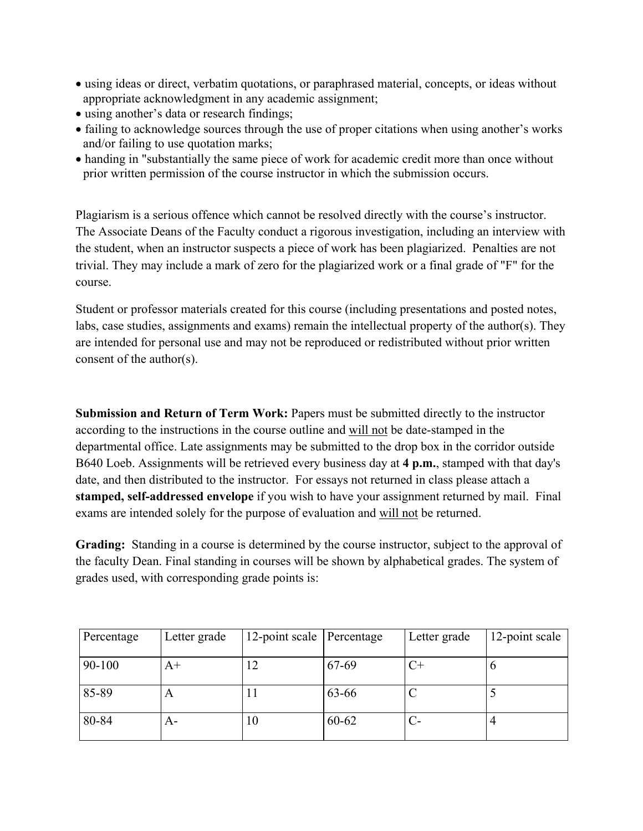- using ideas or direct, verbatim quotations, or paraphrased material, concepts, or ideas without appropriate acknowledgment in any academic assignment;
- using another's data or research findings;
- failing to acknowledge sources through the use of proper citations when using another's works and/or failing to use quotation marks;
- handing in "substantially the same piece of work for academic credit more than once without prior written permission of the course instructor in which the submission occurs.

Plagiarism is a serious offence which cannot be resolved directly with the course's instructor. The Associate Deans of the Faculty conduct a rigorous investigation, including an interview with the student, when an instructor suspects a piece of work has been plagiarized. Penalties are not trivial. They may include a mark of zero for the plagiarized work or a final grade of "F" for the course.

Student or professor materials created for this course (including presentations and posted notes, labs, case studies, assignments and exams) remain the intellectual property of the author(s). They are intended for personal use and may not be reproduced or redistributed without prior written consent of the author(s).

**Submission and Return of Term Work:** Papers must be submitted directly to the instructor according to the instructions in the course outline and will not be date-stamped in the departmental office. Late assignments may be submitted to the drop box in the corridor outside B640 Loeb. Assignments will be retrieved every business day at **4 p.m.**, stamped with that day's date, and then distributed to the instructor. For essays not returned in class please attach a **stamped, self-addressed envelope** if you wish to have your assignment returned by mail. Final exams are intended solely for the purpose of evaluation and will not be returned.

**Grading:** Standing in a course is determined by the course instructor, subject to the approval of the faculty Dean. Final standing in courses will be shown by alphabetical grades. The system of grades used, with corresponding grade points is:

| Percentage | Letter grade | 12-point scale Percentage |       | Letter grade | 12-point scale |
|------------|--------------|---------------------------|-------|--------------|----------------|
| 90-100     | A+           |                           | 67-69 |              |                |
| 85-89      | A            | 11                        | 63-66 |              |                |
| 80-84      | A-           | 10                        | 60-62 |              |                |